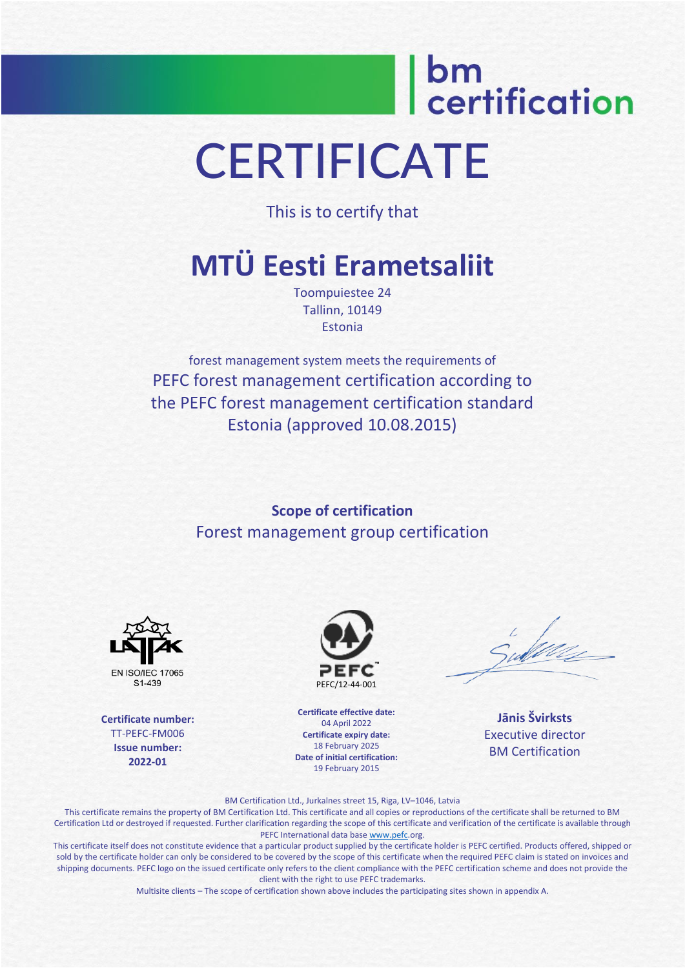### bm<br>| certification **CERTIFICATE**

This is to certify that

### **MTÜ Eesti Erametsaliit**

Toompuiestee 24 Tallinn, 10149 Estonia

forest management system meets the requirements of PEFC forest management certification according to the PEFC forest management certification standard Estonia (approved 10.08.2015)

> **Scope of certification** Forest management group certification



**Certificate number:** TT-PEFC-FM006 **Issue number: 2022-01**



**Certificate effective date:** 04 April 2022 **Certificate expiry date:** 18 February 2025 **Date of initial certification:** 19 February 2015

**Jānis Švirksts** Executive director BM Certification

BM Certification Ltd., Jurkalnes street 15, Riga, LV–1046, Latvia

This certificate remains the property of BM Certification Ltd. This certificate and all copies or reproductions of the certificate shall be returned to BM Certification Ltd or destroyed if requested. Further clarification regarding the scope of this certificate and verification of the certificate is available through PEFC International data bas[e www.pefc.o](http://www.pefc/)rg.

This certificate itself does not constitute evidence that a particular product supplied by the certificate holder is PEFC certified. Products offered, shipped or sold by the certificate holder can only be considered to be covered by the scope of this certificate when the required PEFC claim is stated on invoices and shipping documents. PEFC logo on the issued certificate only refers to the client compliance with the PEFC certification scheme and does not provide the client with the right to use PEFC trademarks.

Multisite clients – The scope of certification shown above includes the participating sites shown in appendix A.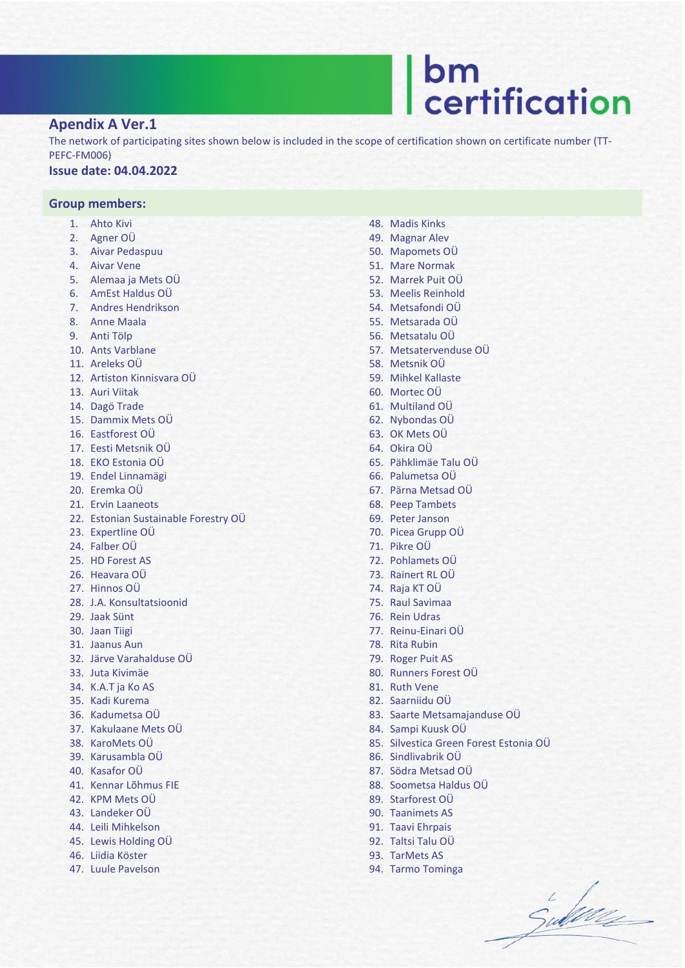# | bm<br>| certification

#### **Apendix A Ver.1**

The network of participating sites shown below is included in the scope of certification shown on certificate number (TT-PEFC-FM006)

#### **Issue date: 04.04.2022**

#### **Group members:**

- 1. Ahto Kivi
- 2. Agner OÜ
- 3. Aivar Pedaspuu
- 4. Aivar Vene
- 5. Alemaa ja Mets OÜ
- 6. AmEst Haldus OÜ
- 7. Andres Hendrikson
- 8. Anne Maala
- 9. Anti Tölp
- 10. Ants Varblane
- 11. Areleks OÜ
- 12. Artiston Kinnisvara OÜ
- 13. Auri Viitak
- 14. Dagö Trade
- 15. Dammix Mets OÜ
- 16. Eastforest OÜ
- 17. Eesti Metsnik OÜ
- 18. EKO Estonia OÜ
- 19. Endel Linnamägi
- 20. Eremka OÜ
- 21. Ervin Laaneots
- 22. Estonian Sustainable Forestry OÜ
- 23. Expertline OÜ
- 24. Falber OÜ
- 25. HD Forest AS
- 26. Heavara OÜ
- 27. Hinnos OÜ
- 28. J.A. Konsultatsioonid
- 29. Jaak Sünt
- 30. Jaan Tiigi
- 31. Jaanus Aun
- 32. Järve Varahalduse OÜ
- 33. Juta Kivimäe
- 34. K.A.T ja Ko AS
- 35. Kadi Kurema
- 36. Kadumetsa OÜ
- 37. Kakulaane Mets OÜ
- 38. KaroMets OÜ
- 39. Karusambla OÜ
- 40. Kasafor OÜ
- 41. Kennar Lõhmus FIE
- 42. KPM Mets OÜ
- 43. Landeker OÜ
- 44. Leili Mihkelson
- 45. Lewis Holding OÜ
- 46. Liidia Köster
- 47. Luule Pavelson
- 48. Madis Kinks
- 49. Magnar Alev 50. Mapomets OÜ
- 51. Mare Normak
- 52. Marrek Puit OÜ
- 53. Meelis Reinhold
- 54. Metsafondi OÜ
- 55. Metsarada OÜ
- 56. Metsatalu OÜ
- 57. Metsatervenduse OÜ
- 58. Metsnik OÜ
- 59. Mihkel Kallaste
- 60. Mortec OÜ
- 61. Multiland OÜ
- 62. Nybondas OÜ
- 63. OK Mets OÜ
- 64. Okira OÜ
- 65. Pähklimäe Talu OÜ
- 66. Palumetsa OÜ
- 67. Pärna Metsad OÜ
- 68. Peep Tambets
- 69. Peter Janson
- 70. Picea Grupp OÜ
- 71. Pikre OÜ
- 72. Pohlamets OÜ
- 73. Rainert RL OÜ
- 74. Raja KT OÜ
- 75. Raul Savimaa
- 76. Rein Udras
- 77. Reinu-Einari OÜ
- 78. Rita Rubin
- 79. Roger Puit AS
- 80. Runners Forest OÜ
- 81. Ruth Vene
- 82. Saarniidu OÜ
- 83. Saarte Metsamajanduse OÜ
- 84. Sampi Kuusk OÜ
- 85. Silvestica Green Forest Estonia OÜ
- 86. Sindlivabrik OÜ
- 87. Södra Metsad OÜ
- 88. Soometsa Haldus OÜ
- 89. Starforest OÜ
- 90. Taanimets AS
- 91. Taavi Ehrpais
- 92. Taltsi Talu OÜ
- 93. TarMets AS
- 94. Tarmo Tominga

Sulver